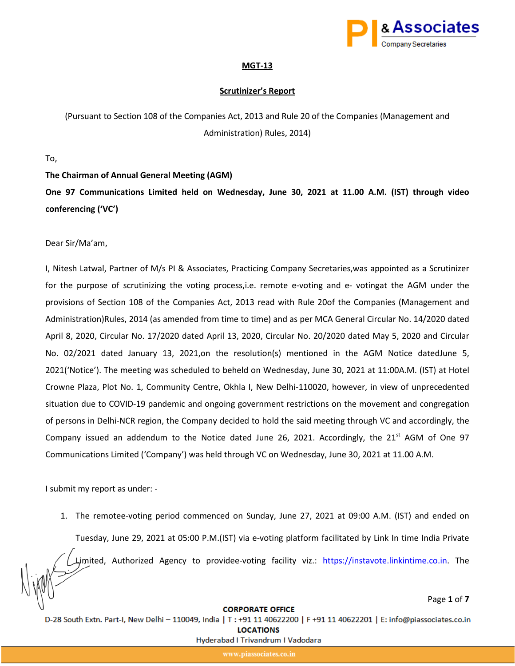

Page **1** of **7**

### **MGT-13**

## **Scrutinizer's Report**

(Pursuant to Section 108 of the Companies Act, 2013 and Rule 20 of the Companies (Management and Administration) Rules, 2014)

To,

**The Chairman of Annual General Meeting (AGM)** 

**One 97 Communications Limited held on Wednesday, June 30, 2021 at 11.00 A.M. (IST) through video conferencing ('VC')**

Dear Sir/Ma'am,

I, Nitesh Latwal, Partner of M/s PI & Associates, Practicing Company Secretaries,was appointed as a Scrutinizer for the purpose of scrutinizing the voting process,i.e. remote e-voting and e- votingat the AGM under the provisions of Section 108 of the Companies Act, 2013 read with Rule 20of the Companies (Management and Administration)Rules, 2014 (as amended from time to time) and as per MCA General Circular No. 14/2020 dated April 8, 2020, Circular No. 17/2020 dated April 13, 2020, Circular No. 20/2020 dated May 5, 2020 and Circular No. 02/2021 dated January 13, 2021,on the resolution(s) mentioned in the AGM Notice datedJune 5, 2021('Notice'). The meeting was scheduled to beheld on Wednesday, June 30, 2021 at 11:00A.M. (IST) at Hotel Crowne Plaza, Plot No. 1, Community Centre, Okhla I, New Delhi-110020, however, in view of unprecedented situation due to COVID-19 pandemic and ongoing government restrictions on the movement and congregation of persons in Delhi-NCR region, the Company decided to hold the said meeting through VC and accordingly, the Company issued an addendum to the Notice dated June 26, 2021. Accordingly, the 21 $^{st}$  AGM of One 97 Communications Limited ('Company') was held through VC on Wednesday, June 30, 2021 at 11.00 A.M.

I submit my report as under: -

1. The remotee-voting period commenced on Sunday, June 27, 2021 at 09:00 A.M. (IST) and ended on

Tuesday, June 29, 2021 at 05:00 P.M.(IST) via e-voting platform facilitated by Link In time India Private

Limited, Authorized Agency to providee-voting facility viz.: [https://instavote.linkintime.co.in.](https://instavote.linkintime.co.in/) The

#### **CORPORATE OFFICE**

D-28 South Extn. Part-I, New Delhi - 110049, India | T : +91 11 40622200 | F +91 11 40622201 | E: info@piassociates.co.in

**LOCATIONS**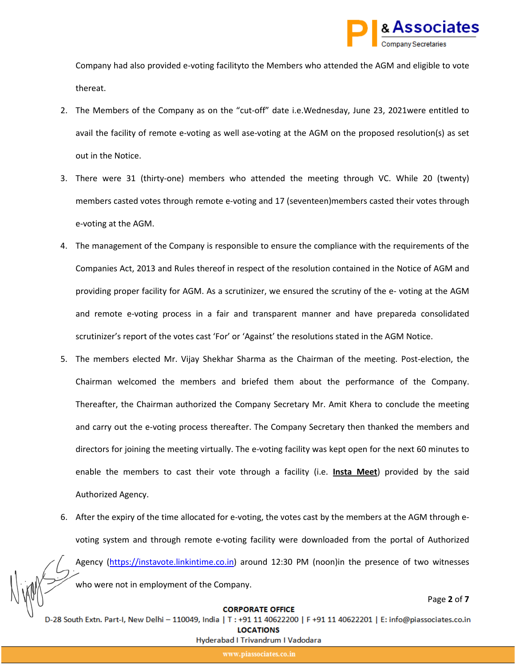

Company had also provided e-voting facilityto the Members who attended the AGM and eligible to vote thereat.

- 2. The Members of the Company as on the "cut-off" date i.e.Wednesday, June 23, 2021were entitled to avail the facility of remote e-voting as well ase-voting at the AGM on the proposed resolution(s) as set out in the Notice.
- 3. There were 31 (thirty-one) members who attended the meeting through VC. While 20 (twenty) members casted votes through remote e-voting and 17 (seventeen)members casted their votes through e-voting at the AGM.
- 4. The management of the Company is responsible to ensure the compliance with the requirements of the Companies Act, 2013 and Rules thereof in respect of the resolution contained in the Notice of AGM and providing proper facility for AGM. As a scrutinizer, we ensured the scrutiny of the e- voting at the AGM and remote e-voting process in a fair and transparent manner and have prepareda consolidated scrutinizer's report of the votes cast 'For' or 'Against' the resolutions stated in the AGM Notice.
- 5. The members elected Mr. Vijay Shekhar Sharma as the Chairman of the meeting. Post-election, the Chairman welcomed the members and briefed them about the performance of the Company. Thereafter, the Chairman authorized the Company Secretary Mr. Amit Khera to conclude the meeting and carry out the e-voting process thereafter. The Company Secretary then thanked the members and directors for joining the meeting virtually. The e-voting facility was kept open for the next 60 minutes to enable the members to cast their vote through a facility (i.e. **Insta Meet** ) provided by the said Authorized Agency.
- 6. After the expiry of the time allocated for e-voting, the votes cast by the members at the AGM through evoting system and through remote e-voting facility were downloaded from the portal of Authorized Agency ([https://instavote.linkintime.co.in\)](https://instavote.linkintime.co.in/) around 12:30 PM (noon)in the presence of two witnesses who were not in employment of the Company.

# Page **2** of **7**

## **CORPORATE OFFICE**

D-28 South Extn. Part-I, New Delhi - 110049, India | T : +91 11 40622200 | F +91 11 40622201 | E: info@piassociates.co.in

**LOCATIONS** 

Hyderabad I Trivandrum I Vadodara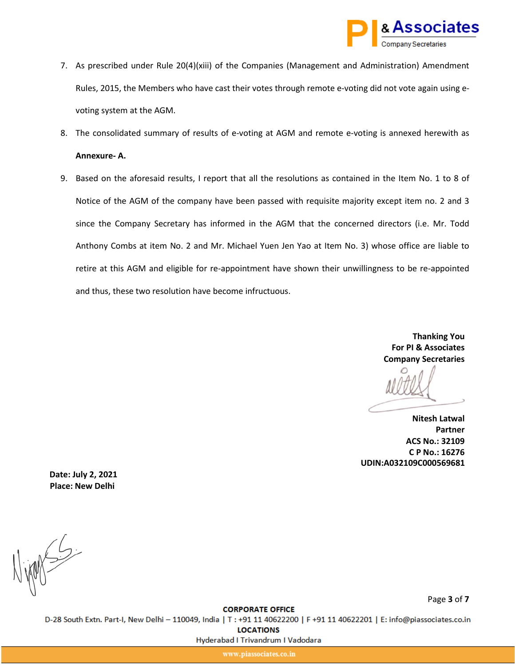

- 7. As prescribed under Rule 20(4)(xiii) of the Companies (Management and Administration) Amendment Rules, 2015, the Members who have cast their votes through remote e-voting did not vote again using evoting system at the AGM.
- 8. The consolidated summary of results of e-voting at AGM and remote e-voting is annexed herewith as **Annexure- A.**
- 9. Based on the aforesaid results, I report that all the resolutions as contained in the Item No. 1 to 8 of Notice of the AGM of the company have been passed with requisite majority except item no. 2 and 3 since the Company Secretary has informed in the AGM that the concerned directors (i.e. Mr. Todd Anthony Combs at item No. 2 and Mr. Michael Yuen Jen Yao at Item No. 3) whose office are liable to retire at this AGM and eligible for re-appointment have shown their unwillingness to be re-appointed and thus, these two resolution have become infructuous.

**Thanking You For PI & Associates Company Secretaries**

**Nitesh Latwal Partner ACS No.: 32109 C P No.: 16276 UDIN:A032109C000569681**

**Place: New Delhi Date: July 2, 2021**

 $1005$ 

Page **3** of **7**

**CORPORATE OFFICE** 

D-28 South Extn. Part-I, New Delhi - 110049, India | T : +91 11 40622200 | F +91 11 40622201 | E: info@piassociates.co.in

**LOCATIONS** 

Hyderabad I Trivandrum I Vadodara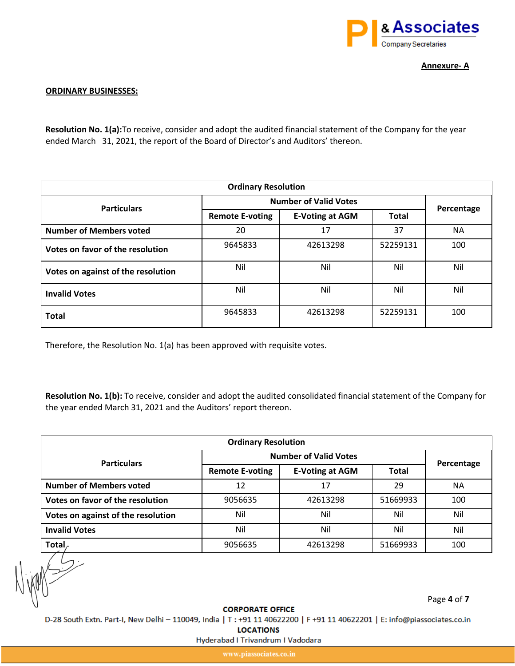

**Annexure- A**

## **ORDINARY BUSINESSES:**

**Resolution No. 1(a):**To receive, consider and adopt the audited financial statement of the Company for the year ended March 31, 2021, the report of the Board of Director's and Auditors' thereon.

| <b>Ordinary Resolution</b>         |                              |                        |              |            |
|------------------------------------|------------------------------|------------------------|--------------|------------|
| <b>Particulars</b>                 | <b>Number of Valid Votes</b> |                        |              |            |
|                                    | <b>Remote E-voting</b>       | <b>E-Voting at AGM</b> | <b>Total</b> | Percentage |
| <b>Number of Members voted</b>     | 20                           | 17                     | 37           | <b>NA</b>  |
| Votes on favor of the resolution   | 9645833                      | 42613298               | 52259131     | 100        |
| Votes on against of the resolution | Nil                          | Nil                    | Nil          | Nil        |
| <b>Invalid Votes</b>               | Nil                          | Nil                    | Nil          | Nil        |
| <b>Total</b>                       | 9645833                      | 42613298               | 52259131     | 100        |

Therefore, the Resolution No. 1(a) has been approved with requisite votes.

**Resolution No. 1(b):** To receive, consider and adopt the audited consolidated financial statement of the Company for the year ended March 31, 2021 and the Auditors' report thereon.

| <b>Ordinary Resolution</b>         |                              |                        |              |            |
|------------------------------------|------------------------------|------------------------|--------------|------------|
| <b>Particulars</b>                 | <b>Number of Valid Votes</b> |                        |              |            |
|                                    | <b>Remote E-voting</b>       | <b>E-Voting at AGM</b> | <b>Total</b> | Percentage |
| <b>Number of Members voted</b>     | 12                           | 17                     | 29           | NА         |
| Votes on favor of the resolution   | 9056635                      | 42613298               | 51669933     | 100        |
| Votes on against of the resolution | Nil                          | Nil                    | Nil          | Nil        |
| <b>Invalid Votes</b>               | Nil                          | Nil                    | Nil          | Nil        |
| Total                              | 9056635                      | 42613298               | 51669933     | 100        |

Page **4** of **7**

**CORPORATE OFFICE** 

D-28 South Extn. Part-I, New Delhi - 110049, India | T : +91 11 40622200 | F +91 11 40622201 | E: info@piassociates.co.in

**LOCATIONS** 

Hyderabad I Trivandrum I Vadodara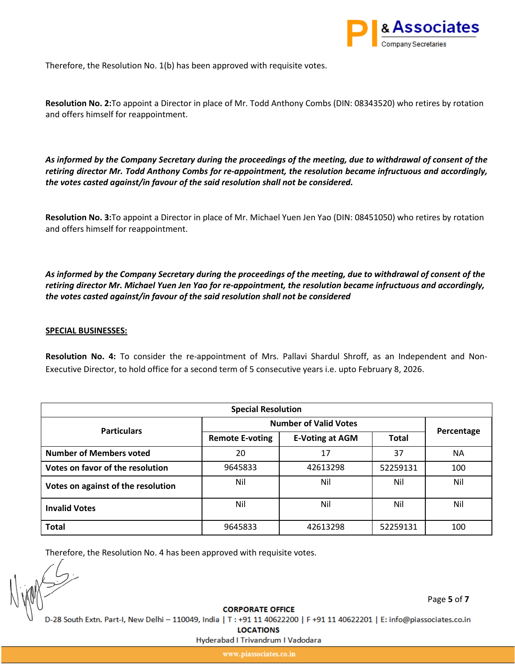

Therefore, the Resolution No. 1(b) has been approved with requisite votes.

**Resolution No. 2:**To appoint a Director in place of Mr. Todd Anthony Combs (DIN: 08343520) who retires by rotation and offers himself for reappointment.

*As informed by the Company Secretary during the proceedings of the meeting, due to withdrawal of consent of the retiring director Mr. Todd Anthony Combs for re-appointment, the resolution became infructuous and accordingly, the votes casted against/in favour of the said resolution shall not be considered.*

**Resolution No. 3:**To appoint a Director in place of Mr. Michael Yuen Jen Yao (DIN: 08451050) who retires by rotation and offers himself for reappointment.

*As informed by the Company Secretary during the proceedings of the meeting, due to withdrawal of consent of the retiring director Mr. Michael Yuen Jen Yao for re-appointment, the resolution became infructuous and accordingly, the votes casted against/in favour of the said resolution shall not be considered*

## **SPECIAL BUSINESSES:**

**Resolution No. 4:** To consider the re-appointment of Mrs. Pallavi Shardul Shroff, as an Independent and Non-Executive Director, to hold office for a second term of 5 consecutive years i.e. upto February 8, 2026.

| <b>Special Resolution</b>          |                              |                        |              |            |
|------------------------------------|------------------------------|------------------------|--------------|------------|
| <b>Particulars</b>                 | <b>Number of Valid Votes</b> |                        |              |            |
|                                    | <b>Remote E-voting</b>       | <b>E-Voting at AGM</b> | <b>Total</b> | Percentage |
| <b>Number of Members voted</b>     | 20                           | 17                     | 37           | <b>NA</b>  |
| Votes on favor of the resolution   | 9645833                      | 42613298               | 52259131     | 100        |
| Votes on against of the resolution | Nil                          | Nil                    | Nil          | Nil        |
| <b>Invalid Votes</b>               | Nil                          | Nil                    | Nil          | Nil        |
| <b>Total</b>                       | 9645833                      | 42613298               | 52259131     | 100        |

Therefore, the Resolution No. 4 has been approved with requisite votes.

Page **5** of **7**

**CORPORATE OFFICE** 

D-28 South Extn. Part-I, New Delhi - 110049, India | T : +91 11 40622200 | F +91 11 40622201 | E: info@piassociates.co.in

**LOCATIONS** 

Hyderabad I Trivandrum I Vadodara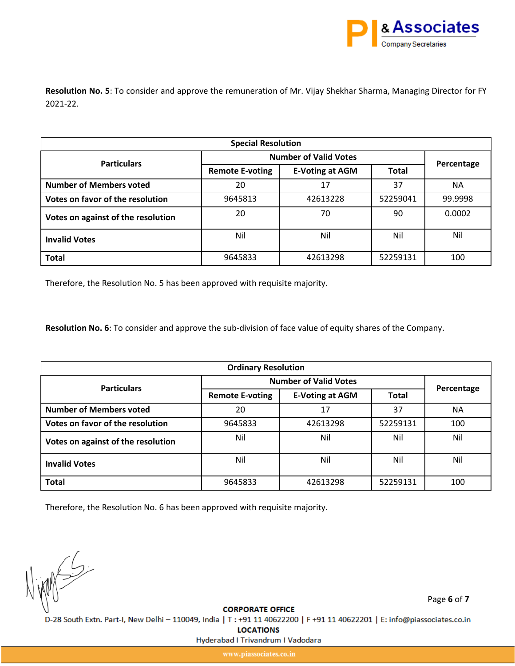

**Resolution No. 5**: To consider and approve the remuneration of Mr. Vijay Shekhar Sharma, Managing Director for FY 2021-22.

| <b>Special Resolution</b>          |                              |                        |              |            |
|------------------------------------|------------------------------|------------------------|--------------|------------|
| <b>Particulars</b>                 | <b>Number of Valid Votes</b> |                        |              | Percentage |
|                                    | <b>Remote E-voting</b>       | <b>E-Voting at AGM</b> | <b>Total</b> |            |
| <b>Number of Members voted</b>     | 20                           | 17                     | 37           | <b>NA</b>  |
| Votes on favor of the resolution   | 9645813                      | 42613228               | 52259041     | 99.9998    |
| Votes on against of the resolution | 20                           | 70                     | 90           | 0.0002     |
| <b>Invalid Votes</b>               | Nil                          | Nil                    | Nil          | Nil        |
| <b>Total</b>                       | 9645833                      | 42613298               | 52259131     | 100        |

Therefore, the Resolution No. 5 has been approved with requisite majority.

**Resolution No. 6**: To consider and approve the sub-division of face value of equity shares of the Company.

| <b>Ordinary Resolution</b>         |                              |                        |              |            |
|------------------------------------|------------------------------|------------------------|--------------|------------|
| <b>Particulars</b>                 | <b>Number of Valid Votes</b> |                        |              |            |
|                                    | <b>Remote E-voting</b>       | <b>E-Voting at AGM</b> | <b>Total</b> | Percentage |
| <b>Number of Members voted</b>     | 20                           | 17                     | 37           | NA.        |
| Votes on favor of the resolution   | 9645833                      | 42613298               | 52259131     | 100        |
| Votes on against of the resolution | Nil                          | Nil                    | Nil          | Nil        |
| <b>Invalid Votes</b>               | Nil                          | Nil                    | Nil          | Nil        |
| <b>Total</b>                       | 9645833                      | 42613298               | 52259131     | 100        |

Therefore, the Resolution No. 6 has been approved with requisite majority.

INNES

Page **6** of **7**

**CORPORATE OFFICE** 

D-28 South Extn. Part-I, New Delhi - 110049, India | T : +91 11 40622200 | F +91 11 40622201 | E: info@piassociates.co.in

**LOCATIONS** 

Hyderabad I Trivandrum I Vadodara